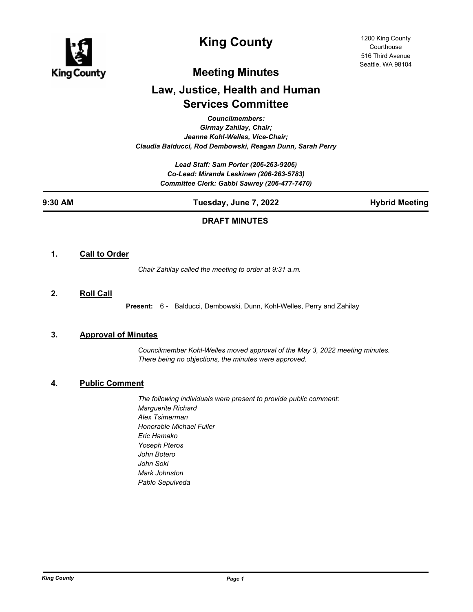

# **King County**

# **Meeting Minutes**

# **Law, Justice, Health and Human Services Committee**

*Councilmembers:*

*Girmay Zahilay, Chair; Jeanne Kohl-Welles, Vice-Chair; Claudia Balducci, Rod Dembowski, Reagan Dunn, Sarah Perry*

> *Lead Staff: Sam Porter (206-263-9206) Co-Lead: Miranda Leskinen (206-263-5783) Committee Clerk: Gabbi Sawrey (206-477-7470)*

**9:30 AM Tuesday, June 7, 2022 Hybrid Meeting**

## **DRAFT MINUTES**

### **1. Call to Order**

*Chair Zahilay called the meeting to order at 9:31 a.m.*

**2. Roll Call**

**Present:** 6 - Balducci, Dembowski, Dunn, Kohl-Welles, Perry and Zahilay

### **3. Approval of Minutes**

*Councilmember Kohl-Welles moved approval of the May 3, 2022 meeting minutes. There being no objections, the minutes were approved.*

## **4. Public Comment**

*The following individuals were present to provide public comment: Marguerite Richard Alex Tsimerman Honorable Michael Fuller Eric Hamako Yoseph Pteros John Botero John Soki Mark Johnston Pablo Sepulveda*